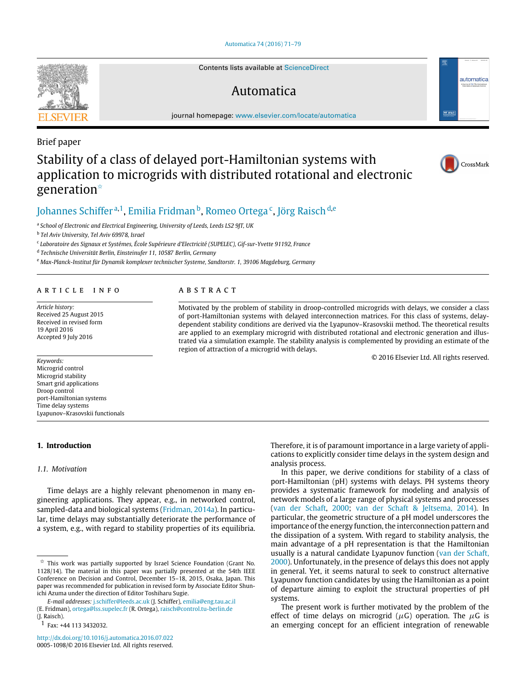## [Automatica 74 \(2016\) 71–79](http://dx.doi.org/10.1016/j.automatica.2016.07.022)

Contents lists available at [ScienceDirect](http://www.elsevier.com/locate/automatica)

## Automatica

journal homepage: [www.elsevier.com/locate/automatica](http://www.elsevier.com/locate/automatica)

# Brief paper Stability of a class of delayed port-Hamiltonian systems with application to microgrids with distributed rotational and electronic generation[✩](#page-0-0)

## [Johannes Schiffer](#page-8-0) <sup>[a](#page-0-1), 1</sup>, [Emilia Fridman](#page-8-1) <sup>[b](#page-0-3)</sup>, [Romeo Ortega](#page-8-2) <sup>[c](#page-0-4)</sup>, [Jörg Raisch](#page-8-3) <sup>[d,](#page-0-5)[e](#page-0-6)</sup>

A B S T R A C T

region of attraction of a microgrid with delays.

<span id="page-0-1"></span>a *School of Electronic and Electrical Engineering, University of Leeds, Leeds LS2 9JT, UK*

<span id="page-0-3"></span>b *Tel Aviv University, Tel Aviv 69978, Israel*

<span id="page-0-4"></span>c *Laboratoire des Signaux et Systémes, École Supérieure d'Electricité (SUPELEC), Gif-sur-Yvette 91192, France*

<span id="page-0-5"></span>d *Technische Universität Berlin, Einsteinufer 11, 10587 Berlin, Germany*

<span id="page-0-6"></span><sup>e</sup> *Max-Planck-Institut für Dynamik komplexer technischer Systeme, Sandtorstr. 1, 39106 Magdeburg, Germany*

## ARTICLE INFO

*Article history:* Received 25 August 2015 Received in revised form 19 April 2016 Accepted 9 July 2016

*Keywords:* Microgrid control Microgrid stability Smart grid applications Droop control port-Hamiltonian systems Time delay systems Lyapunov–Krasovskii functionals

## <span id="page-0-7"></span>**1. Introduction**

## *1.1. Motivation*

Time delays are a highly relevant phenomenon in many engineering applications. They appear, e.g., in networked control, sampled-data and biological systems [\(Fridman,](#page-7-0) [2014a\)](#page-7-0). In particular, time delays may substantially deteriorate the performance of a system, e.g., with regard to stability properties of its equilibria.

*E-mail addresses:* [j.schiffer@leeds.ac.uk](mailto:j.schiffer@leeds.ac.uk) (J. Schiffer), [emilia@eng.tau.ac.il](mailto:emilia@eng.tau.ac.il)

<http://dx.doi.org/10.1016/j.automatica.2016.07.022> 0005-1098/© 2016 Elsevier Ltd. All rights reserved. Therefore, it is of paramount importance in a large variety of applications to explicitly consider time delays in the system design and analysis process.

Motivated by the problem of stability in droop-controlled microgrids with delays, we consider a class of port-Hamiltonian systems with delayed interconnection matrices. For this class of systems, delaydependent stability conditions are derived via the Lyapunov–Krasovskii method. The theoretical results are applied to an exemplary microgrid with distributed rotational and electronic generation and illustrated via a simulation example. The stability analysis is complemented by providing an estimate of the

> In this paper, we derive conditions for stability of a class of port-Hamiltonian (pH) systems with delays. PH systems theory provides a systematic framework for modeling and analysis of network models of a large range of physical systems and processes [\(van](#page-7-1) [der](#page-7-1) [Schaft,](#page-7-1) [2000;](#page-7-1) [van](#page-7-2) [der](#page-7-2) [Schaft](#page-7-2) [&](#page-7-2) [Jeltsema,](#page-7-2) [2014\)](#page-7-2). In particular, the geometric structure of a pH model underscores the importance of the energy function, the interconnection pattern and the dissipation of a system. With regard to stability analysis, the main advantage of a pH representation is that the Hamiltonian usually is a natural candidate Lyapunov function [\(van](#page-7-1) [der](#page-7-1) [Schaft,](#page-7-1) [2000\)](#page-7-1). Unfortunately, in the presence of delays this does not apply in general. Yet, it seems natural to seek to construct alternative Lyapunov function candidates by using the Hamiltonian as a point of departure aiming to exploit the structural properties of pH systems.

> The present work is further motivated by the problem of the effect of time delays on microgrid ( $\mu$ G) operation. The  $\mu$ G is an emerging concept for an efficient integration of renewable

CrossMark

© 2016 Elsevier Ltd. All rights reserved.





<span id="page-0-0"></span> $\overrightarrow{x}$  This work was partially supported by Israel Science Foundation (Grant No. 1128/14). The material in this paper was partially presented at the 54th IEEE Conference on Decision and Control, December 15–18, 2015, Osaka, Japan. This paper was recommended for publication in revised form by Associate Editor Shunichi Azuma under the direction of Editor Toshiharu Sugie.

<sup>(</sup>E. Fridman), [ortega@lss.supelec.fr](mailto:ortega@lss.supelec.fr) (R. Ortega), [raisch@control.tu-berlin.de](mailto:raisch@control.tu-berlin.de) (J. Raisch).

<span id="page-0-2"></span><sup>1</sup> Fax: +44 113 3432032.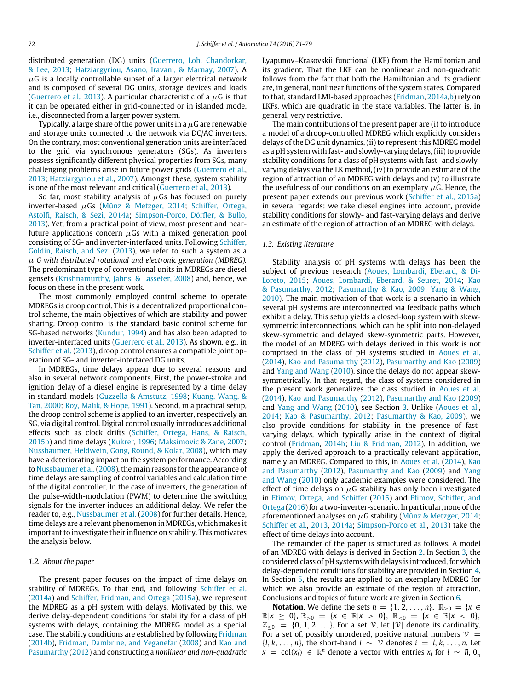distributed generation (DG) units [\(Guerrero,](#page-7-3) [Loh,](#page-7-3) [Chandorkar,](#page-7-3) [&](#page-7-3) [Lee,](#page-7-3) [2013;](#page-7-3) [Hatziargyriou,](#page-7-4) [Asano,](#page-7-4) [Iravani,](#page-7-4) [&](#page-7-4) [Marnay,](#page-7-4) [2007\)](#page-7-4). A  $\mu$ G is a locally controllable subset of a larger electrical network and is composed of several DG units, storage devices and loads [\(Guerrero](#page-7-3) [et al.,](#page-7-3) [2013\)](#page-7-3). A particular characteristic of a  $\mu$ G is that it can be operated either in grid-connected or in islanded mode, i.e., disconnected from a larger power system.

Typically, a large share of the power units in a  $\mu$ G are renewable and storage units connected to the network via DC/AC inverters. On the contrary, most conventional generation units are interfaced to the grid via synchronous generators (SGs). As inverters possess significantly different physical properties from SGs, many challenging problems arise in future power grids [\(Guerrero](#page-7-3) [et al.,](#page-7-3) [2013;](#page-7-3) [Hatziargyriou](#page-7-4) [et al.,](#page-7-4) [2007\)](#page-7-4). Amongst these, system stability is one of the most relevant and critical [\(Guerrero](#page-7-3) [et al.,](#page-7-3) [2013\)](#page-7-3).

So far, most stability analysis of  $\mu$ Gs has focused on purely inverter-based  $\mu$ Gs [\(Münz](#page-7-5) [&](#page-7-5) [Metzger,](#page-7-5) [2014;](#page-7-5) [Schiffer,](#page-8-4) [Ortega,](#page-8-4) [Astolfi,](#page-8-4) [Raisch,](#page-8-4) [&](#page-8-4) [Sezi,](#page-8-4) [2014a;](#page-8-4) [Simpson-Porco,](#page-8-5) [Dörfler,](#page-8-5) [&](#page-8-5) [Bullo,](#page-8-5) [2013\)](#page-8-5). Yet, from a practical point of view, most present and nearfuture applications concern  $\mu$ Gs with a mixed generation pool consisting of SG- and inverter-interfaced units. Following [Schiffer,](#page-8-6) [Goldin,](#page-8-6) [Raisch,](#page-8-6) [and](#page-8-6) [Sezi](#page-8-6) [\(2013\)](#page-8-6), we refer to such a system as a µ *G with distributed rotational and electronic generation (MDREG).* The predominant type of conventional units in MDREGs are diesel gensets [\(Krishnamurthy,](#page-7-6) [Jahns,](#page-7-6) [&](#page-7-6) [Lasseter,](#page-7-6) [2008\)](#page-7-6) and, hence, we focus on these in the present work.

The most commonly employed control scheme to operate MDREGs is droop control. This is a decentralized proportional control scheme, the main objectives of which are stability and power sharing. Droop control is the standard basic control scheme for SG-based networks [\(Kundur,](#page-7-7) [1994\)](#page-7-7) and has also been adapted to inverter-interfaced units [\(Guerrero](#page-7-3) [et al.,](#page-7-3) [2013\)](#page-7-3). As shown, e.g., in [Schiffer](#page-8-6) [et al.](#page-8-6) [\(2013\)](#page-8-6), droop control ensures a compatible joint operation of SG- and inverter-interfaced DG units.

In MDREGs, time delays appear due to several reasons and also in several network components. First, the power-stroke and ignition delay of a diesel engine is represented by a time delay in standard models [\(Guzzella](#page-7-8) [&](#page-7-8) [Amstutz,](#page-7-8) [1998;](#page-7-8) [Kuang,](#page-7-9) [Wang,](#page-7-9) [&](#page-7-9) [Tan,](#page-7-9) [2000;](#page-7-9) [Roy,](#page-7-10) [Malik,](#page-7-10) [&](#page-7-10) [Hope,](#page-7-10) [1991\)](#page-7-10). Second, in a practical setup, the droop control scheme is applied to an inverter, respectively an SG, via digital control. Digital control usually introduces additional effects such as clock drifts [\(Schiffer,](#page-8-7) [Ortega,](#page-8-7) [Hans,](#page-8-7) [&](#page-8-7) [Raisch,](#page-8-7) [2015b\)](#page-8-7) and time delays [\(Kukrer,](#page-7-11) [1996;](#page-7-11) [Maksimovic](#page-7-12) [&](#page-7-12) [Zane,](#page-7-12) [2007;](#page-7-12) [Nussbaumer,](#page-7-13) [Heldwein,](#page-7-13) [Gong,](#page-7-13) [Round,](#page-7-13) [&](#page-7-13) [Kolar,](#page-7-13) [2008\)](#page-7-13), which may have a deteriorating impact on the system performance. According to [Nussbaumer](#page-7-13) [et al.\(2008\)](#page-7-13), the main reasons for the appearance of time delays are sampling of control variables and calculation time of the digital controller. In the case of inverters, the generation of the pulse-width-modulation (PWM) to determine the switching signals for the inverter induces an additional delay. We refer the reader to, e.g., [Nussbaumer](#page-7-13) [et al.](#page-7-13) [\(2008\)](#page-7-13) for further details. Hence, time delays are a relevant phenomenon in MDREGs, which makes it important to investigate their influence on stability. This motivates the analysis below.

## *1.2. About the paper*

The present paper focuses on the impact of time delays on stability of MDREGs. To that end, and following [Schiffer](#page-8-4) [et al.](#page-8-4) [\(2014a\)](#page-8-4) and [Schiffer,](#page-7-14) [Fridman,](#page-7-14) [and](#page-7-14) [Ortega](#page-7-14) [\(2015a\)](#page-7-14), we represent the MDREG as a pH system with delays. Motivated by this, we derive delay-dependent conditions for stability for a class of pH systems with delays, containing the MDREG model as a special case. The stability conditions are established by following [Fridman](#page-7-15) [\(2014b\)](#page-7-15), [Fridman,](#page-7-16) [Dambrine,](#page-7-16) [and](#page-7-16) [Yeganefar](#page-7-16) [\(2008\)](#page-7-16) and [Kao](#page-7-17) [and](#page-7-17) [Pasumarthy](#page-7-17) [\(2012\)](#page-7-17) and constructing a *nonlinear and non-quadratic* Lyapunov–Krasovskii functional (LKF) from the Hamiltonian and its gradient. That the LKF can be nonlinear and non-quadratic follows from the fact that both the Hamiltonian and its gradient are, in general, nonlinear functions of the system states. Compared to that, standard LMI-based approaches [\(Fridman,](#page-7-0) [2014a,b\)](#page-7-0) rely on LKFs, which are quadratic in the state variables. The latter is, in general, very restrictive.

The main contributions of the present paper are (i) to introduce a model of a droop-controlled MDREG which explicitly considers delays of the DG unit dynamics, (ii) to represent this MDREG model as a pH system with fast- and slowly-varying delays, (iii) to provide stability conditions for a class of pH systems with fast- and slowlyvarying delays via the LK method, (iv) to provide an estimate of the region of attraction of an MDREG with delays and (v) to illustrate the usefulness of our conditions on an exemplary  $\mu$ G. Hence, the present paper extends our previous work [\(Schiffer](#page-7-14) [et al.,](#page-7-14) [2015a\)](#page-7-14) in several regards: we take diesel engines into account, provide stability conditions for slowly- and fast-varying delays and derive an estimate of the region of attraction of an MDREG with delays.

## *1.3. Existing literature*

Stability analysis of pH systems with delays has been the [s](#page-7-18)ubject of previous research [\(Aoues,](#page-7-18) [Lombardi,](#page-7-18) [Eberard,](#page-7-18) [&](#page-7-18) [Di-](#page-7-18)[Loreto,](#page-7-18) [2015;](#page-7-18) [Aoues,](#page-7-19) [Lombardi,](#page-7-19) [Eberard,](#page-7-19) [&](#page-7-19) [Seuret,](#page-7-19) [2014;](#page-7-19) [Kao](#page-7-17) [&](#page-7-17) [Pasumarthy,](#page-7-17) [2012;](#page-7-17) [Pasumarthy](#page-7-20) [&](#page-7-20) [Kao,](#page-7-20) [2009;](#page-7-20) [Yang](#page-8-8) [&](#page-8-8) [Wang,](#page-8-8) [2010\)](#page-8-8). The main motivation of that work is a scenario in which several pH systems are interconnected via feedback paths which exhibit a delay. This setup yields a closed-loop system with skewsymmetric interconnections, which can be split into non-delayed skew-symmetric and delayed skew-symmetric parts. However, the model of an MDREG with delays derived in this work is not comprised in the class of pH systems studied in [Aoues](#page-7-19) [et al.](#page-7-19) [\(2014\)](#page-7-19), [Kao](#page-7-17) [and](#page-7-17) [Pasumarthy](#page-7-17) [\(2012\)](#page-7-17), [Pasumarthy](#page-7-20) [and](#page-7-20) [Kao](#page-7-20) [\(2009\)](#page-7-20) and [Yang](#page-8-8) [and](#page-8-8) [Wang](#page-8-8) [\(2010\)](#page-8-8), since the delays do not appear skewsymmetrically. In that regard, the class of systems considered in the present work generalizes the class studied in [Aoues](#page-7-19) [et al.](#page-7-19) [\(2014\)](#page-7-19), [Kao](#page-7-17) [and](#page-7-17) [Pasumarthy](#page-7-17) [\(2012\)](#page-7-17), [Pasumarthy](#page-7-20) [and](#page-7-20) [Kao](#page-7-20) [\(2009\)](#page-7-20) and [Yang](#page-8-8) [and](#page-8-8) [Wang](#page-8-8) [\(2010\)](#page-8-8), see Section [3.](#page-3-0) Unlike [\(Aoues](#page-7-19) [et al.,](#page-7-19) [2014;](#page-7-19) [Kao](#page-7-17) [&](#page-7-17) [Pasumarthy,](#page-7-17) [2012;](#page-7-17) [Pasumarthy](#page-7-20) [&](#page-7-20) [Kao,](#page-7-20) [2009\)](#page-7-20), we also provide conditions for stability in the presence of fastvarying delays, which typically arise in the context of digital control [\(Fridman,](#page-7-15) [2014b;](#page-7-15) [Liu](#page-7-21) [&](#page-7-21) [Fridman,](#page-7-21) [2012\)](#page-7-21). In addition, we apply the derived approach to a practically relevant application, namely an MDREG. Compared to this, in [Aoues](#page-7-19) [et al.](#page-7-19) [\(2014\)](#page-7-19), [Kao](#page-7-17) [and](#page-7-17) [Pasumarthy](#page-7-17) [\(2012\)](#page-7-17), [Pasumarthy](#page-7-20) [and](#page-7-20) [Kao](#page-7-20) [\(2009\)](#page-7-20) and [Yang](#page-8-8) [and](#page-8-8) [Wang](#page-8-8) [\(2010\)](#page-8-8) only academic examples were considered. The effect of time delays on  $\mu$ G stability has only been investigated in [Efimov,](#page-7-22) [Ortega,](#page-7-22) [and](#page-7-22) [Schiffer](#page-7-22) [\(2015\)](#page-7-22) and [Efimov,](#page-7-23) [Schiffer,](#page-7-23) [and](#page-7-23) [Ortega](#page-7-23) [\(2016\)](#page-7-23) for a two-inverter-scenario. In particular, none of the aforementioned analyses on  $\mu$ G stability [\(Münz](#page-7-5) [&](#page-7-5) [Metzger,](#page-7-5) [2014;](#page-7-5) [Schiffer](#page-8-6) [et al.,](#page-8-6) [2013,](#page-8-6) [2014a;](#page-8-6) [Simpson-Porco](#page-8-4) [et al.,](#page-8-4) [2013\)](#page-8-4) take the effect of time delays into account.

The remainder of the paper is structured as follows. A model of an MDREG with delays is derived in Section [2.](#page-2-0) In Section [3,](#page-3-0) the considered class of pH systems with delays is introduced, for which delay-dependent conditions for stability are provided in Section [4.](#page-4-0) In Section [5,](#page-5-0) the results are applied to an exemplary MDREG for which we also provide an estimate of the region of attraction. Conclusions and topics of future work are given in Section [6.](#page-7-24)

**Notation.** We define the sets  $\bar{n}$  = {1, 2, . . . . , *n*}, R<sub>≥0</sub> = {*x* ∈  $\mathbb{R}|x \geq 0$ ,  $\mathbb{R}_{>0} = \{x \in \mathbb{R}|x > 0\}$ ,  $\mathbb{R}_{<0} = \{x \in \mathbb{R}|x < 0\}$ ,  $\mathbb{Z}_{\geq 0} = \{0, 1, 2, \ldots\}$ . For a set V, let  $|\mathcal{V}|$  denote its cardinality. For a set of, possibly unordered, positive natural numbers  $V =$  ${l, k, \ldots, n}$ , the short-hand  $i \sim \nu$  denotes  $i = l, k, \ldots, n$ . Let  $\overline{x}$  = col( $x_i$ ) ∈  $\mathbb{R}^n$  denote a vector with entries  $x_i$  for  $i \sim \overline{n}$ ,  $\underline{0}_n$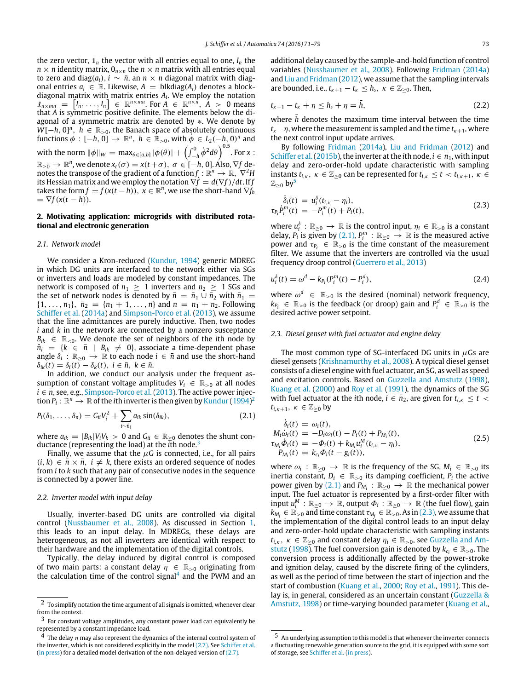the zero vector,  $\mathbb{1}_n$  the vector with all entries equal to one,  $I_n$  the  $n \times n$  identity matrix,  $0_{n \times n}$  the  $n \times n$  matrix with all entries equal to zero and diag( $a_i$ ),  $i \sim \bar{n}$ , an  $n \times n$  diagonal matrix with diagonal entries  $a_i$  ∈ ℝ. Likewise,  $A =$  blkdiag( $A_i$ ) denotes a blockdiagonal matrix with matrix entries *A<sup>i</sup>* . We employ the notation  $\mathcal{I}_{n \times mn}$  =  $[I_n, \ldots, I_n]$   $\in \mathbb{R}^{n \times mn}$ . For  $A \in \mathbb{R}^{n \times \hat{n}}$ ,  $\tilde{A} > 0$  means that *A* is symmetric positive definite. The elements below the diagonal of a symmetric matrix are denoted by ∗. We denote by  $W[-h, 0]^n$ ,  $h \in \mathbb{R}_{>0}$ , the Banach space of absolutely continuous functions  $\phi$  :  $[-h, 0] \rightarrow \mathbb{R}^n$ ,  $h \in \mathbb{R}_{>0}$ , with  $\dot{\phi} \in L_2(-h, 0)^n$  and with the norm  $\|\phi\|_{W} = \max_{\theta \in [a,b]} |\phi(\theta)| + \left(\int_{-h}^{0} \dot{\phi}^{2} d\theta\right)^{0.5}$ . For *x* :  $\mathbb{R}_{\geq 0} \to \mathbb{R}^n$ , we denote  $x_t(\sigma) = x(t+\sigma)$ ,  $\sigma \in [-h, 0]$ . Also,  $\nabla f$  denotes the transpose of the gradient of a function $f: \mathbb{R}^n \rightarrow \mathbb{R}, \ \nabla^2 H$ its Hessian matrix and we employ the notation  $\nabla \dot{f} = d(\nabla f)/dt$ . If *f* takes the form  $f = f(x(t - h))$ ,  $x \in \mathbb{R}^n$ , we use the short-hand  $\nabla f_h$  $= \nabla f(x(t-h)).$ 

## <span id="page-2-0"></span>**2. Motivating application: microgrids with distributed rotational and electronic generation**

## *2.1. Network model*

We consider a Kron-reduced [\(Kundur,](#page-7-7) [1994\)](#page-7-7) generic MDREG in which DG units are interfaced to the network either via SGs or inverters and loads are modeled by constant impedances. The network is composed of  $n_1 \geq 1$  inverters and  $n_2 \geq 1$  SGs and the set of network nodes is denoted by  $\bar{n} = \bar{n}_1 \cup \bar{n}_2$  with  $\bar{n}_1 =$  $\{1, \ldots, n_1\}, \bar{n}_2 = \{n_1 + 1, \ldots, n\}$  and  $n = n_1 + n_2$ . Following [Schiffer](#page-8-4) [et al.](#page-8-4) [\(2014a\)](#page-8-4) and [Simpson-Porco](#page-8-5) [et al.](#page-8-5) [\(2013\)](#page-8-5), we assume that the line admittances are purely inductive. Then, two nodes *i* and *k* in the network are connected by a nonzero susceptance  $B_{ik} \in \mathbb{R}_{\leq 0}$ . We denote the set of neighbors of the *i*th node by  $\hat{n}_i = \{k \in \bar{n} \mid B_{ik} \neq 0\}$ , associate a time-dependent phase angle  $\delta_i$  :  $\mathbb{R}_{\geq 0} \to \mathbb{R}$  to each node  $i \in \bar{n}$  and use the short-hand  $\delta_{ik}(t) = \delta_i(t) - \delta_k(t)$ ,  $i \in \bar{n}$ ,  $k \in \bar{n}$ .

In addition, we conduct our analysis under the frequent assumption of constant voltage amplitudes  $V_i \in \mathbb{R}_{>0}$  at all nodes  $i \in \bar{n}$ , see, e.g., [Simpson-Porco](#page-8-5) [et al.](#page-8-5) [\(2013\)](#page-8-5). The active power injection  $P_i:\mathbb{R}^n\to\mathbb{R}$  of the *i*th inverter is then given by [Kundur](#page-7-7) [\(1994\)](#page-7-7)<sup>[2](#page-2-1)</sup>

$$
P_i(\delta_1,\ldots,\delta_n)=G_{ii}V_i^2+\sum_{i\sim\hat{n}_i}a_{ik}\sin(\delta_{ik}),\qquad(2.1)
$$

where  $a_{ik} = |B_{ik}|V_iV_k > 0$  and  $G_{ii} \in \mathbb{R}_{>0}$  denotes the shunt conductance (representing the load) at the *i*th node.[3](#page-2-2)

Finally, we assume that the  $\mu$ G is connected, i.e., for all pairs  $(i, k) \in \bar{n} \times \bar{n}$ ,  $i \neq k$ , there exists an ordered sequence of nodes from *i* to *k* such that any pair of consecutive nodes in the sequence is connected by a power line.

#### <span id="page-2-10"></span>*2.2. Inverter model with input delay*

Usually, inverter-based DG units are controlled via digital control [\(Nussbaumer](#page-7-13) [et al.,](#page-7-13) [2008\)](#page-7-13). As discussed in Section [1,](#page-0-7) this leads to an input delay. In MDREGs, these delays are heterogeneous, as not all inverters are identical with respect to their hardware and the implementation of the digital controls.

Typically, the delay induced by digital control is composed of two main parts: a constant delay  $\eta \in \mathbb{R}_{>0}$  originating from the calculation time of the control signal<sup>[4](#page-2-3)</sup> and the PWM and an

additional delay caused by the sample-and-hold function of control variables [\(Nussbaumer](#page-7-13) [et al.,](#page-7-13) [2008\)](#page-7-13). Following [Fridman](#page-7-0) [\(2014a\)](#page-7-0) and [Liu](#page-7-21) [and](#page-7-21) [Fridman](#page-7-21) [\(2012\)](#page-7-21), we assume that the sampling intervals are bounded, i.e.,  $t_{k+1} - t_k \leq h_s$ ,  $\kappa \in \mathbb{Z}_{>0}$ . Then,

<span id="page-2-9"></span>
$$
t_{\kappa+1}-t_{\kappa}+\eta\leq h_s+\eta=\bar{h},\qquad(2.2)
$$

where  $\bar{h}$  denotes the maximum time interval between the time *t*<sub>κ</sub>−*n*, where the measurement is sampled and the time *t*<sub>κ+1</sub>, where the next control input update arrives.

By following [Fridman](#page-7-0) [\(2014a\)](#page-7-0), [Liu](#page-7-21) [and](#page-7-21) [Fridman](#page-7-21) [\(2012\)](#page-7-21) and [Schiffer](#page-8-7) et al. (2015b), the inverter at the *i*th node,  $i \in \bar{n}_1$ , with input delay and zero-order-hold update characteristic with sampling instants  $t_{i,k}$ ,  $\kappa \in \mathbb{Z}_{\geq 0}$  can be represented for  $t_{i,k} \leq t < t_{i,k+1}$ ,  $\kappa \in$  $\mathbb{Z}_{\geq 0}$  by<sup>[5](#page-2-4)</sup>

<span id="page-2-6"></span>
$$
\dot{\delta}_i(t) = u_i^{\delta}(t_{i,\kappa} - \eta_i), \tau_{P_i} \dot{P}_i^m(t) = -P_i^m(t) + P_i(t),
$$
\n(2.3)

where  $u_i^{\delta}$  :  $\mathbb{R}_{\geq 0} \to \mathbb{R}$  is the control input,  $\eta_i \in \mathbb{R}_{>0}$  is a constant delay, *P*<sup>*i*</sup> is given by [\(2.1\),](#page-2-5)  $P_i^m$  :  $\mathbb{R}_{\geq 0} \to \mathbb{R}$  is the measured active power and  $\tau_{P_i} \in \mathbb{R}_{>0}$  is the time constant of the measurement filter. We assume that the inverters are controlled via the usual frequency droop control [\(Guerrero](#page-7-3) [et al.,](#page-7-3) [2013\)](#page-7-3)

<span id="page-2-7"></span>
$$
u_i^{\delta}(t) = \omega^d - k_{P_i}(P_i^m(t) - P_i^d),
$$
\n(2.4)

where  $\omega^d \in \mathbb{R}_{>0}$  is the desired (nominal) network frequency,  $k_{P_i} \in \mathbb{R}_{>0}$  is the feedback (or droop) gain and  $P_i^d \in \mathbb{R}_{>0}$  is the desired active power setpoint.

## *2.3. Diesel genset with fuel actuator and engine delay*

<span id="page-2-8"></span>δ˙

The most common type of SG-interfaced DG units in  $\mu$ Gs are diesel gensets [\(Krishnamurthy](#page-7-6) [et al.,](#page-7-6) [2008\)](#page-7-6). A typical diesel genset consists of a diesel engine with fuel actuator, an SG, as well as speed and excitation controls. Based on [Guzzella](#page-7-8) [and](#page-7-8) [Amstutz](#page-7-8) [\(1998\)](#page-7-8), [Kuang](#page-7-9) [et al.](#page-7-9) [\(2000\)](#page-7-9) and [Roy](#page-7-10) [et al.](#page-7-10) [\(1991\)](#page-7-10), the dynamics of the SG with fuel actuator at the *i*th node,  $i \in \bar{n}_2$ , are given for  $t_{i,k} \leq t$  $t_{i,k+1}, \ \kappa \in \mathbb{Z}_{\geq 0}$  by

<span id="page-2-5"></span>
$$
\begin{aligned}\n\dot{\delta}_i(t) &= \omega_i(t), \\
M_i \dot{\omega}_i(t) &= -D_i \omega_i(t) - P_i(t) + P_{M_i}(t), \\
\tau_{M_i} \dot{\Phi}_i(t) &= -\Phi_i(t) + k_{M_i} u_i^M(t_{i,\kappa} - \eta_i), \\
P_{M_i}(t) &= k_{c_i} \Phi_i(t - g_i(t)),\n\end{aligned} \tag{2.5}
$$

where  $\omega_i$ :  $\mathbb{R}_{\geq 0} \to \mathbb{R}$  is the frequency of the SG,  $M_i \in \mathbb{R}_{>0}$  its inertia constant,  $D_i \in \mathbb{R}_{>0}$  its damping coefficient,  $P_i$  the active power given by [\(2.1\)](#page-2-5) and  $P_{M_i}: \mathbb{R}_{\geq 0} \to \mathbb{R}$  the mechanical power input. The fuel actuator is represented by a first-order filter with input  $u_i^M$  :  $\mathbb{R}_{\geq 0} \to \mathbb{R}$ , output  $\Phi_i : \mathbb{R}_{\geq 0} \to \mathbb{R}$  (the fuel flow), gain  $k_{M_i} \in \mathbb{R}_{>0}$  and time constant  $\tau_{M_i} \in \mathbb{R}_{>0}$ . As in [\(2.3\),](#page-2-6) we assume that the implementation of the digital control leads to an input delay and zero-order-hold update characteristic with sampling instants  $t_{i,k}$  $t_{i,k}$ ,  $\kappa \in \mathbb{Z}_{\geq 0}$  [and](#page-7-8) constant delay  $\eta_i \in \mathbb{R}_{\geq 0}$ , see [Guzzella](#page-7-8) and [Am](#page-7-8)[stutz](#page-7-8) [\(1998\)](#page-7-8). The fuel conversion gain is denoted by  $k_{c_i} \in \mathbb{R}_{>0}$ . The conversion process is additionally affected by the power-stroke and ignition delay, caused by the discrete firing of the cylinders, as well as the period of time between the start of injection and the start of combustion [\(Kuang](#page-7-9) [et al.,](#page-7-9) [2000;](#page-7-9) [Roy](#page-7-10) [et al.,](#page-7-10) [1991\)](#page-7-10). This delay is, in general, considered as an uncertain constant [\(Guzzella](#page-7-8) [&](#page-7-8) [Amstutz,](#page-7-8) [1998\)](#page-7-8) or time-varying bounded parameter [\(Kuang](#page-7-9) [et al.,](#page-7-9)

<span id="page-2-1"></span> $^{\rm 2}$  To simplify notation the time argument of all signals is omitted, whenever clear from the context.

<span id="page-2-2"></span><sup>3</sup> For constant voltage amplitudes, any constant power load can equivalently be represented by a constant impedance load.

<span id="page-2-3"></span><sup>&</sup>lt;sup>4</sup> The delay  $\eta$  may also represent the dynamics of the internal control system of the inverter, which is not considered explicitly in the model [\(2.7\).](#page-3-1) See [Schiffer](#page-8-9) [et al.](#page-8-9) [\(in press\)](#page-8-9) for a detailed model derivation of the non-delayed version of [\(2.7\).](#page-3-1)

<span id="page-2-4"></span><sup>5</sup> An underlying assumption to this model is that whenever the inverter connects a fluctuating renewable generation source to the grid, it is equipped with some sort of storage, see [Schiffer](#page-8-9) [et al.](#page-8-9) [\(in press\)](#page-8-9).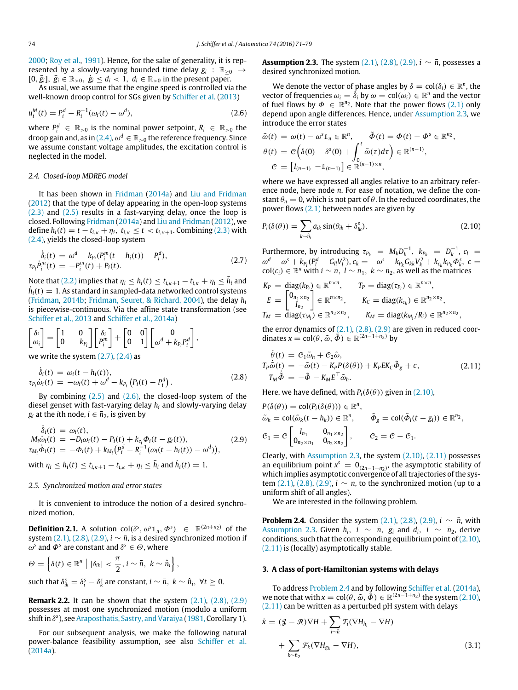[2000;](#page-7-9) [Roy](#page-7-10) [et al.,](#page-7-10) [1991\)](#page-7-10). Hence, for the sake of generality, it is represented by a slowly-varying bounded time delay  $g_i$  :  $\mathbb{R}_{\geq 0}$   $\rightarrow$  $[0, \bar{g}_i], \bar{g}_i \in \mathbb{R}_{>0}, \dot{g}_i \leq d_i < 1, d_i \in \mathbb{R}_{>0}$  in the present paper.

As usual, we assume that the engine speed is controlled via the well-known droop control for SGs given by [Schiffer](#page-8-6) [et al.](#page-8-6) [\(2013\)](#page-8-6)

$$
u_i^M(t) = P_i^d - R_i^{-1}(\omega_i(t) - \omega^d),
$$
\n(2.6)

where  $P_i^d$   $\in \mathbb{R}_{>0}$  is the nominal power setpoint,  $R_i$   $\in \mathbb{R}_{>0}$  the droop gain and, as in [\(2.4\),](#page-2-7)  $\omega^d \in \mathbb{R}_{>0}$  the reference frequency. Since we assume constant voltage amplitudes, the excitation control is neglected in the model.

#### *2.4. Closed-loop MDREG model*

It has been shown in [Fridman](#page-7-0) [\(2014a\)](#page-7-0) and [Liu](#page-7-21) [and](#page-7-21) [Fridman](#page-7-21) [\(2012\)](#page-7-21) that the type of delay appearing in the open-loop systems [\(2.3\)](#page-2-6) and [\(2.5\)](#page-2-8) results in a fast-varying delay, once the loop is closed. Following [Fridman](#page-7-0) [\(2014a\)](#page-7-0) and [Liu](#page-7-21) [and](#page-7-21) [Fridman](#page-7-21) [\(2012\)](#page-7-21), we define  $h_i(t) = t - t_{i,k} + \eta_i$ ,  $t_{i,k} \le t < t_{i,k+1}$ . Combining [\(2.3\)](#page-2-6) with [\(2.4\),](#page-2-7) yields the closed-loop system

$$
\dot{\delta}_i(t) = \omega^d - k_{P_i}(P_i^m(t - h_i(t)) - P_i^d), \n\tau_{P_i}\dot{P}_i^m(t) = -P_i^m(t) + P_i(t).
$$
\n(2.7)

Note that [\(2.2\)](#page-2-9) implies that  $\eta_i \leq h_i(t) \leq t_{i,\kappa+1} - t_{i,\kappa} + \eta_i \leq \bar{h}_i$  and  $\dot{h}_i(t) = 1$ . As standard in sampled-data networked control systems [\(Fridman,](#page-7-15) [2014b;](#page-7-15) [Fridman,](#page-7-25) [Seuret,](#page-7-25) [&](#page-7-25) [Richard,](#page-7-25) [2004\)](#page-7-25), the delay *h<sup>i</sup>* is piecewise-continuous. Via the affine state transformation (see [Schiffer](#page-8-6) [et al.,](#page-8-6) [2013](#page-8-6) and [Schiffer](#page-8-4) [et al.,](#page-8-4) [2014a\)](#page-8-4)

$$
\begin{bmatrix} \delta_i \\ \omega_i \end{bmatrix} = \begin{bmatrix} 1 & 0 \\ 0 & -k_{P_i} \end{bmatrix} \begin{bmatrix} \delta_i \\ P_i^m \end{bmatrix} + \begin{bmatrix} 0 & 0 \\ 0 & 1 \end{bmatrix} \begin{bmatrix} 0 \\ \omega^d + k_{P_i} P_i^d \end{bmatrix},
$$
  
we write the system (3.7), (2.4) as

we write the system  $(2.7)$ ,  $(2.4)$  as

$$
\dot{\delta}_i(t) = \omega_i(t - h_i(t)),
$$
  
\n
$$
\tau_{P_i}\dot{\omega}_i(t) = -\omega_i(t) + \omega^d - k_{P_i}(P_i(t) - P_i^d).
$$
\n(2.8)

By combining  $(2.5)$  and  $(2.6)$ , the closed-loop system of the diesel genset with fast-varying delay *h<sup>i</sup>* and slowly-varying delay *g*<sub>*i*</sub> at the *i*th node, *i*  $\in \bar{n}_2$ , is given by

$$
\dot{\delta}_i(t) = \omega_i(t), \nM_i \dot{\omega}_i(t) = -D_i \omega_i(t) - P_i(t) + k_{c_i} \Phi_i(t - g_i(t)), \n\tau_{M_i} \dot{\Phi}_i(t) = -\Phi_i(t) + k_{M_i} (P_i^d - R_i^{-1}(\omega_i(t - h_i(t)) - \omega^d)), \n\text{with } \eta_i \le h_i(t) \le t_{i,\kappa+1} - t_{i,\kappa} + \eta_i \le \bar{h}_i \text{ and } \dot{h}_i(t) = 1.
$$
\n(2.9)

#### *2.5. Synchronized motion and error states*

It is convenient to introduce the notion of a desired synchronized motion.

**Definition 2.1.** A solution  $\text{col}(\delta^s, \omega^s 1_n, \Phi^s) \in \mathbb{R}^{(2n+n_2)}$  of the system [\(2.1\),](#page-2-5) [\(2.8\),](#page-3-3) [\(2.9\),](#page-3-4)  $i \sim \bar{n}$ , is a desired synchronized motion if  $\omega^s$  and  $\Phi^s$  are constant and  $\delta^s \in \Theta$ , where

$$
\Theta = \left\{ \delta(t) \in \mathbb{R}^n \mid |\delta_{ik}| < \frac{\pi}{2}, i \sim \bar{n}, \ k \sim \hat{n}_i \right\},\
$$
\nsuch that  $\delta_{ik}^s = \delta_i^s - \delta_k^s$  are constant,  $i \sim \bar{n}, \ k \sim \hat{n}_i, \ \forall t \geq 0$ .

<span id="page-3-10"></span>**Remark 2.2.** It can be shown that the system [\(2.1\),](#page-2-5) [\(2.8\),](#page-3-3) [\(2.9\)](#page-3-4) possesses at most one synchronized motion (modulo a uniform shift in δ *s* ), see [Araposthatis,](#page-7-26) [Sastry,](#page-7-26) [and](#page-7-26) [Varaiya](#page-7-26) [\(1981,](#page-7-26) Corollary 1).

For our subsequent analysis, we make the following natural power-balance feasibility assumption, see also [Schiffer](#page-8-4) [et al.](#page-8-4) [\(2014a\)](#page-8-4).

<span id="page-3-5"></span>**Assumption 2.3.** The system  $(2.1)$ ,  $(2.8)$ ,  $(2.9)$ ,  $i \sim \bar{n}$ , possesses a desired synchronized motion.

<span id="page-3-2"></span>We denote the vector of phase angles by  $\delta = \text{col}(\delta_i) \in \mathbb{R}^n$ , the vector of frequencies  $\omega_i = \delta_i$  by  $\omega = \text{col}(\omega_i) \in \mathbb{R}^n$  and the vector of fuel flows by  $\Phi \in \mathbb{R}^{n_2}$ . Note that the power flows [\(2.1\)](#page-2-5) only depend upon angle differences. Hence, under [Assumption 2.3,](#page-3-5) we introduce the error states

$$
\begin{aligned}\n\tilde{\omega}(t) &= \omega(t) - \omega^s \mathbb{1}_n \in \mathbb{R}^n, \\
\theta(t) &= \mathcal{C}\left(\delta(0) - \delta^s(0) + \int_0^t \tilde{\omega}(\tau) d\tau\right) \in \mathbb{R}^{(n-1)}, \\
\mathcal{C} &= \left[I_{(n-1)} - \mathbb{1}_{(n-1)}\right] \in \mathbb{R}^{(n-1)\times n},\n\end{aligned}
$$

where we have expressed all angles relative to an arbitrary reference node, here node *n*. For ease of notation, we define the constant  $\theta_n = 0$ , which is not part of  $\theta$ . In the reduced coordinates, the power flows [\(2.1\)](#page-2-5) between nodes are given by

$$
P_i(\delta(\theta)) = \sum_{k \sim \hat{n}_i} a_{ik} \sin(\theta_{ik} + \delta_{ik}^s). \tag{2.10}
$$

<span id="page-3-1"></span>Furthermore, by introducing  $\tau_{P_k} = M_k D_k^{-1}$ ,  $k_{P_k} = D_k^{-1}$ ,  $c_l =$  $\omega^d - \omega^s + k_{P_l}(P_l^d - G_{ll}V_l^2), c_k = -\omega^s - k_{P_k}G_{kk}V_k^2 + k_{C_k}k_{P_k}\Phi_k^s, c =$  $col(c_i) \in \mathbb{R}^n$  with *i* ∼  $\bar{n}$ , *l* ∼  $\bar{n}_1$ , *k* ∼  $\bar{n}_2$ , as well as the matrices

$$
K_P = \text{diag}(k_{P_i}) \in \mathbb{R}^{n \times n}, \qquad T_P = \text{diag}(\tau_{P_i}) \in \mathbb{R}^{n \times n},
$$
  
\n
$$
E = \begin{bmatrix} 0_{n_1 \times n_2} \\ I_{n_2} \end{bmatrix} \in \mathbb{R}^{n \times n_2}, \qquad K_C = \text{diag}(k_{C_k}) \in \mathbb{R}^{n_2 \times n_2},
$$
  
\n
$$
T_M = \text{diag}(\tau_{M_i}) \in \mathbb{R}^{n_2 \times n_2}, \qquad K_M = \text{diag}(k_{M_i}/R_i) \in \mathbb{R}^{n_2 \times n_2}
$$

the error dynamics of  $(2.1)$ ,  $(2.8)$ ,  $(2.9)$  are given in reduced coordinates  $x = col(\theta, \tilde{\omega}, \tilde{\phi}) \in \mathbb{R}^{(2n-1+n_2)}$  by

<span id="page-3-7"></span><span id="page-3-6"></span>,

<span id="page-3-3"></span>
$$
\dot{\theta}(t) = C_1 \tilde{\omega}_h + C_2 \tilde{\omega}, \nT_P \dot{\tilde{\omega}}(t) = -\tilde{\omega}(t) - K_P P(\delta(\theta)) + K_P E K_C \tilde{\Phi}_g + c, \nT_M \tilde{\Phi} = -\tilde{\Phi} - K_M E^\top \tilde{\omega}_h.
$$
\n(2.11)

Here, we have defined, with  $P_i(\delta(\theta))$  given in [\(2.10\),](#page-3-6)

<span id="page-3-4"></span>
$$
P(\delta(\theta)) = \text{col}(P_i(\delta(\theta))) \in \mathbb{R}^n,
$$
  
\n
$$
\tilde{\omega}_h = \text{col}(\tilde{\omega}_k(t - h_k)) \in \mathbb{R}^n,
$$
  
\n
$$
\tilde{\varPhi}_g = \text{col}(\tilde{\varPhi}_l(t - g_l)) \in \mathbb{R}^{n_2},
$$
  
\n
$$
C_1 = C \begin{bmatrix} I_{n_1} & 0_{n_1 \times n_2} \\ 0_{n_2 \times n_1} & 0_{n_2 \times n_2} \end{bmatrix},
$$
  
\n
$$
C_2 = C - C_1.
$$

Clearly, with [Assumption 2.3,](#page-3-5) the system [\(2.10\),](#page-3-6) [\(2.11\)](#page-3-7) possesses an equilibrium point  $x^s = \underline{0}_{(2n-1+n_2)}$ , the asymptotic stability of which implies asymptotic convergence of all trajectories of the system  $(2.1)$ ,  $(2.8)$ ,  $(2.9)$ ,  $i \sim \bar{n}$ , to the synchronized motion (up to a uniform shift of all angles).

<span id="page-3-8"></span>We are interested in the following problem.

**Problem 2.4.** Consider the system  $(2.1)$ ,  $(2.8)$ ,  $(2.9)$ ,  $i \sim \bar{n}$ , with [Assumption 2.3.](#page-3-5) Given  $\bar{h}_i$ ,  $i \sim \bar{n}$ ,  $\bar{g}_i$  and  $d_i$ ,  $i \sim \bar{n}_2$ , derive conditions, such that the corresponding equilibrium point of  $(2.10)$ , [\(2.11\)](#page-3-7) is (locally) asymptotically stable.

#### <span id="page-3-0"></span>**3. A class of port-Hamiltonian systems with delays**

To address [Problem 2.4](#page-3-8) and by following [Schiffer](#page-8-4) [et al.](#page-8-4) [\(2014a\)](#page-8-4), we note that with  $x = col(\theta, \tilde{\omega}, \tilde{\Phi}) \in \mathbb{R}^{(2n-1+n_2)}$  the system [\(2.10\),](#page-3-6) [\(2.11\)](#page-3-7) can be written as a perturbed pH system with delays

<span id="page-3-9"></span>
$$
\dot{x} = (\mathcal{J} - \mathcal{R})\nabla H + \sum_{i \sim \bar{n}} \mathcal{T}_i(\nabla H_{h_i} - \nabla H)
$$

$$
+ \sum_{k \sim \bar{n}_2} \mathcal{F}_k(\nabla H_{g_k} - \nabla H), \tag{3.1}
$$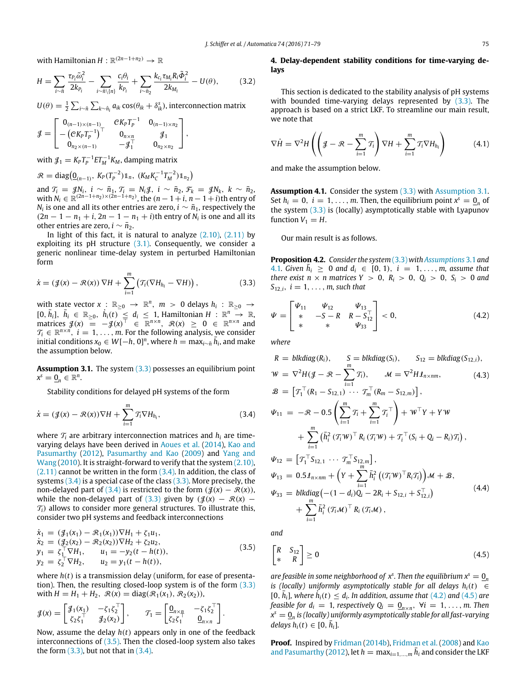with Hamiltonian  $H: \mathbb{R}^{(2n-1+n_2)} \to \mathbb{R}$ 

$$
H = \sum_{i \sim \bar{n}} \frac{\tau_{P_i} \tilde{\omega}_i^2}{2k_{P_i}} - \sum_{i \sim \bar{n}\backslash\{n\}} \frac{c_i \theta_i}{k_{P_i}} + \sum_{i \sim \bar{n}_2} \frac{k_{c_i} \tau_{M_i} R_i \tilde{\Phi}_i^2}{2k_{M_i}} - U(\theta), \tag{3.2}
$$

 $U(\theta) = \frac{1}{2} \sum_{i \sim \tilde{n}} \sum_{k \sim \hat{n}_i} a_{ik} \cos(\theta_{ik} + \delta^s_{ik})$ , interconnection matrix

$$
\mathcal{J} = \begin{bmatrix} 0_{(n-1)\times(n-1)} & CK_p T_p^{-1} & 0_{(n-1)\times n_2} \\ -\left(CK_p T_p^{-1}\right)^\top & 0_{n\times n} & \mathcal{J}_1 \\ 0_{n_2\times(n-1)} & -\mathcal{J}_1^\top & 0_{n_2\times n_2} \end{bmatrix},
$$

with  $\mathcal{J}_1 = K_P T_P^{-1} E T_M^{-1} K_M$ , damping matrix

$$
\mathcal{R} = \text{diag}(\underline{0}_{(n-1)}, K_P(T_P^{-2})\mathbb{1}_n, (K_M K_C^{-1} T_M^{-2})\mathbb{1}_{n_2})
$$

and  $\mathcal{T}_i = \mathcal{J}N_i$ ,  $i \sim \bar{n}_1$ ,  $\mathcal{T}_i = N_i \mathcal{J}$ ,  $i \sim \bar{n}_2$ ,  $\mathcal{F}_k = \mathcal{J}N_k$ ,  $k \sim \bar{n}_2$ , with *N*<sup>*i*</sup> ∈  $\mathbb{R}^{(2n-1+n_2)\times(2n-1+n_2)}$ , the  $(n-1+i, n-1+i)$ th entry of  $N_i$  is one and all its other entries are zero,  $i\sim \bar{n}_1$ , respectively the  $(2n - 1 - n_1 + i, 2n - 1 - n_1 + i)$ th entry of  $N_i$  is one and all its other entries are zero,  $i \sim \bar{n}_2$ .

In light of this fact, it is natural to analyze  $(2.10)$ ,  $(2.11)$  by exploiting its pH structure  $(3.1)$ . Consequently, we consider a generic nonlinear time-delay system in perturbed Hamiltonian form

$$
\dot{x} = (\mathcal{J}(x) - \mathcal{R}(x)) \nabla H + \sum_{i=1}^{m} (\mathcal{T}_i(\nabla H_{h_i} - \nabla H)), \qquad (3.3)
$$

with state vector  $x$  :  $\mathbb{R}_{\geq 0} \to \mathbb{R}^n$ ,  $m > 0$  delays  $h_i$  :  $\mathbb{R}_{\geq 0} \to$  $[0, \bar{h}_i], \bar{h}_i \in \mathbb{R}_{\geq 0}, \bar{h}_i(t) \leq d_i \leq 1$ , Hamiltonian  $H : \mathbb{R}^n \to \mathbb{R}$ , matrices  $\mathcal{J}(x) = -\mathcal{J}(x)^{\top} \in \mathbb{R}^{n \times n}$ ,  $\mathcal{R}(x) \geq 0 \in \mathbb{R}^{n \times n}$  and  $\mathcal{T}_i \in \mathbb{R}^{n \times n}$ ,  $i = 1, \ldots, m$ . For the following analysis, we consider  $i$  initial conditions  $x_0 \in W[-h, 0]^n$ , where  $h = \max_{i \sim \bar{n}} \bar{h}_i$ , and make the assumption below.

**Assumption 3.1.** The system [\(3.3\)](#page-4-1) possesses an equilibrium point  $x^s = \underline{0}_n \in \mathbb{R}^n$ .

<span id="page-4-4"></span>Stability conditions for delayed pH systems of the form

$$
\dot{x} = (\mathcal{J}(x) - \mathcal{R}(x))\nabla H + \sum_{i=1}^{m} \mathcal{T}_i \nabla H_{h_i},
$$
\n(3.4)

where  $\mathcal{T}_i$  are arbitrary interconnection matrices and  $h_i$  are timevarying delays have been derived in [Aoues](#page-7-19) [et al.](#page-7-19) [\(2014\)](#page-7-19), [Kao](#page-7-17) [and](#page-7-17) [Pasumarthy](#page-7-17) [\(2012\)](#page-7-17), [Pasumarthy](#page-7-20) [and](#page-7-20) [Kao](#page-7-20) [\(2009\)](#page-7-20) and [Yang](#page-8-8) [and](#page-8-8) [Wang](#page-8-8) [\(2010\)](#page-8-8). It is straight-forward to verify that the system [\(2.10\),](#page-3-6)  $(2.11)$  cannot be written in the form  $(3.4)$ . In addition, the class of systems  $(3.4)$  is a special case of the class  $(3.3)$ . More precisely, the non-delayed part of [\(3.4\)](#page-4-2) is restricted to the form  $(\mathcal{J}(x) - \mathcal{R}(x))$ , while the non-delayed part of [\(3.3\)](#page-4-1) given by  $(\mathcal{J}(x) - \mathcal{R}(x) \mathcal{T}_i$ ) allows to consider more general structures. To illustrate this, consider two pH systems and feedback interconnections

$$
\dot{x}_1 = (g_1(x_1) - \mathcal{R}_1(x_1))\nabla H_1 + \zeta_1 u_1,\n\dot{x}_2 = (g_2(x_2) - \mathcal{R}_2(x_2))\nabla H_2 + \zeta_2 u_2,\ny_1 = \zeta_1^\top \nabla H_1, \qquad u_1 = -y_2(t - h(t)),\ny_2 = \zeta_2^\top \nabla H_2, \qquad u_2 = y_1(t - h(t)),
$$
\n(3.5)

where *h*(*t*) is a transmission delay (uniform, for ease of presentation). Then, the resulting closed-loop system is of the form [\(3.3\)](#page-4-1) with  $H = H_1 + H_2$ ,  $\mathcal{R}(x) = \text{diag}(\mathcal{R}_1(x_1), \mathcal{R}_2(x_2))$ ,

$$
\mathcal{J}(x) = \begin{bmatrix} \mathcal{J}_1(x_1) & -\zeta_1 \zeta_2^{\top} \\ \zeta_2 \zeta_1^{\top} & \mathcal{J}_2(x_2) \end{bmatrix}, \qquad \mathcal{T}_1 = \begin{bmatrix} \mathbf{0}_{n \times n} & -\zeta_1 \zeta_2^{\top} \\ \zeta_2 \zeta_1^{\top} & \mathbf{0}_{n \times n} \end{bmatrix}.
$$

Now, assume the delay *h*(*t*) appears only in one of the feedback interconnections of  $(3.5)$ . Then the closed-loop system also takes the form  $(3.3)$ , but not that in  $(3.4)$ .

## <span id="page-4-12"></span><span id="page-4-0"></span>**4. Delay-dependent stability conditions for time-varying delays**

This section is dedicated to the stability analysis of pH systems with bounded time-varying delays represented by [\(3.3\).](#page-4-1) The approach is based on a strict LKF. To streamline our main result, we note that

<span id="page-4-8"></span>
$$
\nabla \dot{H} = \nabla^2 H \left( \left( \mathcal{J} - \mathcal{R} - \sum_{i=1}^m \mathcal{T}_i \right) \nabla H + \sum_{i=1}^m \mathcal{T}_i \nabla H_{h_i} \right) \tag{4.1}
$$

and make the assumption below.

<span id="page-4-5"></span>**Assumption 4.1.** Consider the system [\(3.3\)](#page-4-1) with [Assumption 3.1.](#page-4-4) Set  $h_i = 0$ ,  $i = 1, ..., m$ . Then, the equilibrium point  $x^s = \underline{0}_n$  of the system [\(3.3\)](#page-4-1) is (locally) asymptotically stable with Lyapunov function  $V_1 = H$ .

<span id="page-4-11"></span><span id="page-4-6"></span>Our main result is as follows.

<span id="page-4-1"></span>**Proposition 4.2.** *Consider the system* [\(3.3\)](#page-4-1) *with [Assumptions](#page-4-4)* 3.1 and [4.1](#page-4-5)*.* Given  $\bar{h}_i$  ≥ 0 and  $d_i$  ∈ [0, 1),  $i = 1, ..., m$ , assume that *there exist n*  $\times$  *n* matrices  $Y > 0$ ,  $R_i > 0$ ,  $Q_i > 0$ ,  $S_i > 0$  and  $S_{12,i}$ ,  $i = 1, \ldots, m$ , such that

$$
\Psi = \begin{bmatrix} \Psi_{11} & \Psi_{12} & \Psi_{13} \\ * & -S - R & R - S_{12}^{\top} \\ * & * & \Psi_{33} \end{bmatrix} < 0, \tag{4.2}
$$

*where*

<span id="page-4-9"></span><span id="page-4-2"></span>
$$
R = blkdiag(R_i), \t S = blkdiag(S_i), \t S_{12} = blkdiag(S_{12,i}),
$$
  
\n
$$
W = \nabla^2 H(\mathcal{J} - \mathcal{R} - \sum_{i=1}^{m} \mathcal{T}_i), \t M = \nabla^2 H \mathbf{1}_{n \times nm}, \t (4.3)
$$
  
\n
$$
\mathcal{B} = [\mathcal{T}_1^\top (R_1 - S_{12,1}) \cdots \mathcal{T}_m^\top (R_m - S_{12,m})],
$$
  
\n
$$
\Psi_{11} = -\mathcal{R} - 0.5 \left( \sum_{i=1}^{m} \mathcal{T}_i + \sum_{i=1}^{m} \mathcal{T}_i^\top \right) + W^\top Y + YW
$$
  
\n
$$
+ \sum_{i=1}^{m} (\bar{h}_i^2 (\mathcal{T}_i W)^\top R_i (\mathcal{T}_i W) + \mathcal{T}_i^\top (S_i + Q_i - R_i) \mathcal{T}_i),
$$
  
\n
$$
\Psi_{12} = [\mathcal{T}_1^\top S_{12,1} \cdots \mathcal{T}_m^\top S_{12,m}],
$$
  
\n
$$
\Psi_{13} = 0.5 \mathbf{1}_{n \times nm} + \left( Y + \sum_{i=1}^{m} \bar{h}_i^2 ((\mathcal{T}_i W)^\top R_i \mathcal{T}_i) \right) \mathcal{M} + \mathcal{B},
$$
  
\n
$$
\Psi_{33} = blkdiag(-(1 - d_i)Q_i - 2R_i + S_{12,i} + S_{12,i}^\top) + \sum_{i=1}^{m} \bar{h}_i^2 (\mathcal{T}_i \mathcal{M})^\top R_i (\mathcal{T}_i \mathcal{M}),
$$
  
\n(4.4)

<span id="page-4-10"></span><span id="page-4-3"></span>*and*

<span id="page-4-7"></span>
$$
\begin{bmatrix} R & S_{12} \\ * & R \end{bmatrix} \ge 0 \tag{4.5}
$$

*are feasible in some neighborhood of*  $x^s$ . Then the equilibrium  $x^s = \mathbf{0}_n$ *is (locally) uniformly asymptotically stable for all delays*  $h_i(t) \in$  $[0, \bar{h}_i]$ , where  $\dot{h}_i(t) \leq d_i$ . In addition, assume that [\(4.2\)](#page-4-6) and [\(4.5\)](#page-4-7) are *feasible for*  $d_i = 1$ *, respectively*  $Q_i = Q_{n \times n}$ ,  $\forall i = 1, ..., m$ . Then  $x^s = \underline{0}_n$  is (locally) uniformly asymptotically stable for all fast-varying  $delays h_i(t) \in [0, h_i].$ 

**Proof.** Inspired by [Fridman](#page-7-15) [\(2014b\)](#page-7-15), [Fridman](#page-7-16) [et al.](#page-7-16) [\(2008\)](#page-7-16) and [Kao](#page-7-17) [and](#page-7-17) [Pasumarthy](#page-7-17) [\(2012\)](#page-7-17), let  $h = \max_{i=1,\dots,m} \bar{h}_i$  and consider the LKF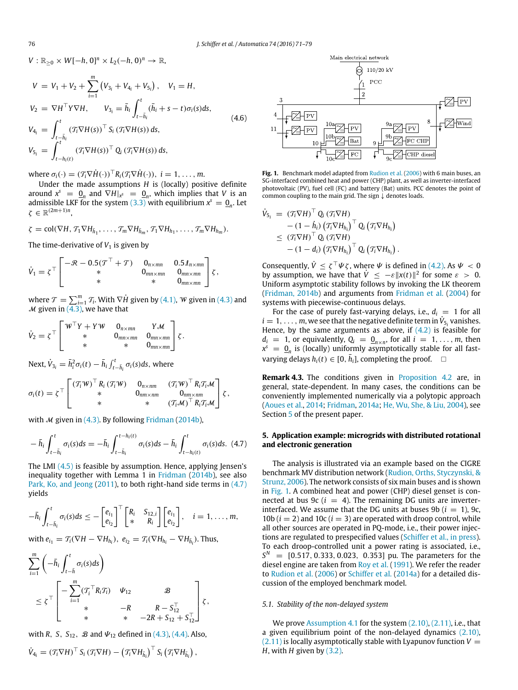$V: \mathbb{R}_{\geq 0} \times W[-h, 0]^n \times L_2(-h, 0)^n \to \mathbb{R}$ ,

$$
V = V_1 + V_2 + \sum_{i=1}^{m} (V_{3_i} + V_{4_i} + V_{5_i}), \quad V_1 = H,
$$
  
\n
$$
V_2 = \nabla H^{\top} Y \nabla H, \quad V_{3_i} = \bar{h}_i \int_{t - \bar{h}_i}^{t} (\bar{h}_i + s - t) \sigma_i(s) ds,
$$
  
\n
$$
V_{4_i} = \int_{t - \bar{h}_i}^{t} (\mathcal{T}_i \nabla H(s))^{\top} S_i (\mathcal{T}_i \nabla H(s)) ds,
$$
  
\n
$$
V_{5_i} = \int_{t - h_i(t)}^{t} (\mathcal{T}_i \nabla H(s))^{\top} Q_i (\mathcal{T}_i \nabla H(s)) ds,
$$
\n(4.6)

where  $\sigma_i(\cdot) = (\mathcal{T}_i \nabla \dot{H}(\cdot))^T R_i(\mathcal{T}_i \nabla \dot{H}(\cdot)), i = 1, \dots, m$ .

Under the made assumptions *H* is (locally) positive definite around  $x^s = \underline{0}_n$  and  $\nabla H|_{x^s} = \underline{0}_n$ , which implies that *V* is an admissible LKF for the system [\(3.3\)](#page-4-1) with equilibrium  $x^s = \underline{0}_n$ . Let  $\zeta \in \mathbb{R}^{(2m+1)n}$ ,

$$
\zeta = \text{col}(\nabla H, \mathcal{T}_1 \nabla H_{\bar{h}_1}, \dots, \mathcal{T}_m \nabla H_{\bar{h}_m}, \mathcal{T}_1 \nabla H_{h_1}, \dots, \mathcal{T}_m \nabla H_{h_m}).
$$

The time-derivative of  $V_1$  is given by

$$
\dot{V}_1 = \zeta^{\top} \begin{bmatrix} -\mathcal{R} - 0.5(\mathcal{T}^{\top} + \mathcal{T}) & 0_{n \times mn} & 0.5 \mathcal{I}_{n \times mn} \\ * & 0_{mn \times mn} & 0_{mn \times mn} \\ * & * & 0_{mn \times mn} \end{bmatrix} \zeta,
$$

where  $\mathcal{T} = \sum_{i=1}^m \mathcal{T}_i$ . With  $\nabla \dot{H}$  given by [\(4.1\),](#page-4-8) W given in [\(4.3\)](#page-4-9) and  $M$  given in [\(4.3\),](#page-4-9) we have that

$$
\dot{V}_2 = \zeta^\top \begin{bmatrix} W^\top Y + YW & 0_{n \times mn} & Y \mathcal{M} \\ * & 0_{mn \times mn} & 0_{mn \times mn} \\ * & * & 0_{mn \times mn} \end{bmatrix} \zeta.
$$

Next,  $\dot{V}_{3_i} = \bar{h}_i^2 \sigma_i(t) - \bar{h}_i \int_{t-\bar{h}_i}^t \sigma_i(s) ds$ , where

$$
\sigma_i(t) = \zeta^{\top} \begin{bmatrix} (\mathcal{T}_i \mathcal{W})^{\top} R_i (\mathcal{T}_i \mathcal{W}) & 0_{n \times nm} & (\mathcal{T}_i \mathcal{W})^{\top} R_i \mathcal{T}_i \mathcal{M} \\ * & 0_{nm \times nm} & 0_{nm \times nm} \\ * & * & (\mathcal{T}_i \mathcal{M})^{\top} R_i \mathcal{T}_i \mathcal{M} \end{bmatrix} \zeta,
$$

with  $M$  given in [\(4.3\).](#page-4-9) By following [Fridman](#page-7-15) [\(2014b\)](#page-7-15),

$$
-\bar{h}_i \int_{t-\bar{h}_i}^t \sigma_i(s) ds = -\bar{h}_i \int_{t-\bar{h}_i}^{t-h_i(t)} \sigma_i(s) ds - \bar{h}_i \int_{t-h_i(t)}^t \sigma_i(s) ds. \tag{4.7}
$$

The LMI [\(4.5\)](#page-4-7) is feasible by assumption. Hence, applying Jensen's inequality together with Lemma 1 in [Fridman](#page-7-15) [\(2014b\)](#page-7-15), see also [Park,](#page-7-27) [Ko,](#page-7-27) [and](#page-7-27) [Jeong](#page-7-27) [\(2011\)](#page-7-27), to both right-hand side terms in [\(4.7\)](#page-5-1) yields

$$
-\bar{h}_i \int_{t-\bar{h}_i}^t \sigma_i(s) ds \leq -\begin{bmatrix} e_{i_1} \\ e_{i_2} \end{bmatrix}^\top \begin{bmatrix} R_i & S_{12,i} \\ * & R_i \end{bmatrix} \begin{bmatrix} e_{i_1} \\ e_{i_2} \end{bmatrix}, \quad i = 1, \ldots, m,
$$

with  $e_{i_1} = \mathcal{T}_i(\nabla H - \nabla H_{h_i}), e_{i_2} = \mathcal{T}_i(\nabla H_{h_i} - \nabla H_{\bar{h}_i}).$  Thus,

$$
\sum_{i=1}^{m} \left( -\bar{h}_{i} \int_{t-\bar{h}}^{t} \sigma_{i}(s) ds \right)
$$
\n
$$
\leq \zeta^{\top} \left[ -\sum_{i=1}^{m} (\mathcal{T}_{i}^{\top} R_{i} \mathcal{T}_{i}) \quad \psi_{12} \quad \mathcal{B} \right] \times \left. -R \quad \mathcal{R} - S_{12}^{\top} \right] \zeta,
$$
\n
$$
\ast \quad \mathcal{A} \quad -2R + S_{12} + S_{12}^{\top} \end{aligned}
$$

with *R*, *S*,  $S_{12}$ , *B* and  $\Psi_{12}$  defined in [\(4.3\),](#page-4-9) [\(4.4\).](#page-4-10) Also,

$$
\dot{V}_{4_i} = (\mathcal{T}_i \nabla H)^{\top} S_i (\mathcal{T}_i \nabla H) - (\mathcal{T}_i \nabla H_{\bar{h}_i})^{\top} S_i (\mathcal{T}_i \nabla H_{\bar{h}_i}),
$$

<span id="page-5-3"></span><span id="page-5-2"></span>

**Fig. 1.** Benchmark model adapted from [Rudion](#page-7-28) [et al.](#page-7-28) [\(2006\)](#page-7-28) with 6 main buses, an SG-interfaced combined heat and power (CHP) plant, as well as inverter-interfaced photovoltaic (PV), fuel cell (FC) and battery (Bat) units. PCC denotes the point of common coupling to the main grid. The sign ↓ denotes loads.

$$
\dot{V}_{5_i} = (\mathcal{T}_i \nabla H)^{\top} Q_i (\mathcal{T}_i \nabla H) \n- (1 - \dot{h}_i) (\mathcal{T}_i \nabla H_{h_i})^{\top} Q_i (\mathcal{T}_i \nabla H_{h_i}) \n\leq (\mathcal{T}_i \nabla H)^{\top} Q_i (\mathcal{T}_i \nabla H) \n- (1 - d_i) (\mathcal{T}_i \nabla H_{h_i})^{\top} Q_i (\mathcal{T}_i \nabla H_{h_i}).
$$

Consequently,  $\dot{V} \leq \zeta^\top \Psi \zeta$ , where  $\Psi$  is defined in [\(4.2\).](#page-4-6) As  $\Psi < 0$ by assumption, we have that  $\dot{V} \le -\varepsilon ||x(t)||^2$  for some  $\varepsilon > 0$ . Uniform asymptotic stability follows by invoking the LK theorem [\(Fridman,](#page-7-15) [2014b\)](#page-7-15) and arguments from [Fridman](#page-7-25) [et al.](#page-7-25) [\(2004\)](#page-7-25) for systems with piecewise-continuous delays.

For the case of purely fast-varying delays, i.e.,  $d_i = 1$  for all  $i = 1, \ldots, m$ , we see that the negative definite term in  $\dot{V}_{5_i}$  vanishes. Hence, by the same arguments as above, if  $(4.2)$  is feasible for  $d_i = 1$ , or equivalently,  $Q_i = Q_{n \times n}$ , for all  $i = 1, \ldots, m$ , then  $x^s = \underline{0}_n$  is (locally) uniformly asymptotically stable for all fast*varying delays*  $h_i(t)$  ∈ [0,  $\bar{h}_i$ ], completing the proof.  $□$ 

<span id="page-5-4"></span>**Remark 4.3.** The conditions given in [Proposition 4.2](#page-4-11) are, in general, state-dependent. In many cases, the conditions can be conveniently implemented numerically via a polytopic approach [\(Aoues](#page-7-19) [et al.,](#page-7-19) [2014;](#page-7-19) [Fridman,](#page-7-0) [2014a;](#page-7-0) [He,](#page-7-29) [Wu,](#page-7-29) [She,](#page-7-29) [&](#page-7-29) [Liu,](#page-7-29) [2004\)](#page-7-29), see Section [5](#page-5-0) of the present paper.

## <span id="page-5-1"></span><span id="page-5-0"></span>**5. Application example: microgrids with distributed rotational and electronic generation**

The analysis is illustrated via an example based on the CIGRE benchmark MV distribution network [\(Rudion,](#page-7-28) [Orths,](#page-7-28) [Styczynski,](#page-7-28) [&](#page-7-28) [Strunz,](#page-7-28) [2006\)](#page-7-28). The network consists of six main buses and is shown in [Fig. 1.](#page-5-2) A combined heat and power (CHP) diesel genset is connected at bus 9c  $(i = 4)$ . The remaining DG units are inverterinterfaced. We assume that the DG units at buses  $9b (i = 1)$ , 9c, 10b  $(i = 2)$  and 10c  $(i = 3)$  are operated with droop control, while all other sources are operated in PQ-mode, i.e., their power injections are regulated to prespecified values [\(Schiffer](#page-8-9) [et al.,](#page-8-9) [in press\)](#page-8-9). To each droop-controlled unit a power rating is associated, i.e.,  $S<sup>N</sup>$  = [0.517, 0.333, 0.023, 0.353] pu. The parameters for the diesel engine are taken from [Roy](#page-7-10) [et al.](#page-7-10) [\(1991\)](#page-7-10). We refer the reader to [Rudion](#page-7-28) [et al.](#page-7-28) [\(2006\)](#page-7-28) or [Schiffer](#page-8-4) [et al.](#page-8-4) [\(2014a\)](#page-8-4) for a detailed discussion of the employed benchmark model.

#### *5.1. Stability of the non-delayed system*

We prove [Assumption 4.1](#page-4-5) for the system  $(2.10)$ ,  $(2.11)$ , i.e., that a given equilibrium point of the non-delayed dynamics [\(2.10\),](#page-3-6)  $(2.11)$  is locally asymptotically stable with Lyapunov function  $V =$ *H*, with *H* given by [\(3.2\).](#page-4-12)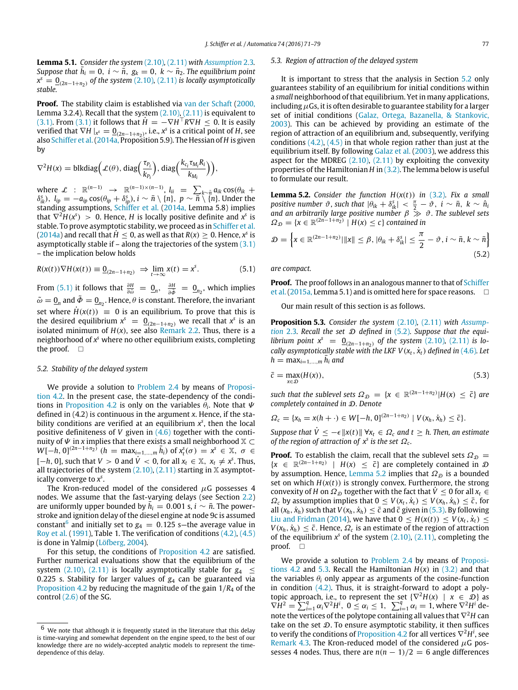**Lemma 5.1.** *Consider the system* [\(2.10\)](#page-3-6)*,* [\(2.11\)](#page-3-7) *with [Assumption](#page-3-5)* 2.3*. Suppose that*  $\bar{h}_i = 0$ ,  $i \sim \bar{n}$ ,  $g_k = 0$ ,  $k \sim \bar{n}_2$ . The equilibrium point  $x^s = \underline{0}_{(2n-1+n_2)}$  *of the system* [\(2.10\)](#page-3-6)*,* [\(2.11\)](#page-3-7) *is locally asymptotically stable.*

**Proof.** The stability claim is established via [van](#page-7-1) [der](#page-7-1) [Schaft](#page-7-1) [\(2000,](#page-7-1) Lemma 3.2.4). Recall that the system  $(2.10)$ ,  $(2.11)$  is equivalent to [\(3.1\).](#page-3-9) From [\(3.1\)](#page-3-9) it follows that  $H = -\nabla H^{\top}R\nabla H \leq 0$ . It is easily verified that  $\nabla H|_{X^s} = \underline{0}_{(2n-1+n_2)}$ , i.e.,  $x^s$  is a critical point of *H*, see also [Schiffer](#page-8-4) [et al.\(2014a,](#page-8-4) Proposition 5.9). The Hessian of *H* is given by

$$
\nabla^2 H(x) = \text{blkdiag}\Big(\mathcal{L}(\theta), \text{diag}\Big(\frac{\tau_{P_i}}{k_{P_i}}\Big), \text{diag}\Big(\frac{k_{c_i}\tau_{M_i}R_i}{k_{M_i}}\Big)\Big),\,
$$

where  $\mathcal{L}$  :  $\mathbb{R}^{(n-1)} \rightarrow \mathbb{R}^{(n-1)\times(n-1)}$ ,  $l_{ii} = \sum_{k \sim \bar{n}} a_{ik} \cos(\theta_{ik} +$  $\delta_{ik}^{\text{s}}$ ),  $l_{ip} = -a_{ip}\cos(\theta_{ip} + \delta_{ip}^{\text{s}})$ ,  $i \sim \bar{n} \setminus \{n\},\ p \sim \overline{\bar{n}} \setminus \{\bar{n}\}.$  Under the standing assumptions, [Schiffer](#page-8-4) [et al.](#page-8-4) [\(2014a,](#page-8-4) Lemma 5.8) implies that  $\nabla^2 H(x^s) > 0$ . Hence, *H* is locally positive definite and  $x^s$  is stable. To prove asymptotic stability, we proceed as in [Schiffer](#page-8-4) [et al.](#page-8-4)  $(2014a)$  and recall that  $H \le 0$ , as well as that  $R(x) \ge 0$ . Hence,  $x^s$  is asymptotically stable if  $-$  along the trajectories of the system  $(3.1)$ – the implication below holds

$$
R(x(t))\nabla H(x(t)) \equiv \underline{0}_{(2n-1+n_2)} \implies \lim_{t \to \infty} x(t) = x^s. \tag{5.1}
$$

From [\(5.1\)](#page-6-0) it follows that  $\frac{\partial H}{\partial \tilde{\omega}} = \underline{0}_n$ ,  $\frac{\partial H}{\partial \tilde{\phi}} = \underline{0}_{n_2}$ , which implies  $\tilde{\omega} = \underline{0}_n$  and  $\tilde{\Phi} = \underline{0}_{n_2}$ . Hence,  $\theta$  is constant. Therefore, the invariant set where  $\dot{H}(x(t)) \equiv 0$  is an equilibrium. To prove that this is the desired equilibrium  $x^s = \underline{0}_{(2n-1+n_2)}$  we recall that  $x^s$  is an isolated minimum of  $H(x)$ , see also [Remark 2.2.](#page-3-10) Thus, there is a neighborhood of *x <sup>s</sup>* where no other equilibrium exists, completing the proof.  $\square$ 

#### <span id="page-6-2"></span>*5.2. Stability of the delayed system*

We provide a solution to [Problem 2.4](#page-3-8) by means of [Proposi](#page-4-11)[tion 4.2.](#page-4-11) In the present case, the state-dependency of the condi-tions in [Proposition 4.2](#page-4-11) is only on the variables  $\theta_i$ . Note that  $\Psi$ defined in (4.2) is continuous in the argument *x*. Hence, if the stability conditions are verified at an equilibrium  $x<sup>s</sup>$ , then the local positive definiteness of *V* given in [\(4.6\)](#page-5-3) together with the continuity of  $\Psi$  in *x* implies that there exists a small neighborhood  $\mathbb{X}$  ⊂  $W[-h, 0]^{(2n-1+n_2)}$   $(h = \max_{i=1,\dots,m} \bar{h}_i)$  of  $x_i^s(\sigma) = x^s \in \mathbb{X}, \sigma \in \mathbb{X}$ [ $-h$ , 0], such that *V* > 0 and  $\dot{V}$  < 0, for all  $x_t \in \mathbb{X}$ ,  $x_t \neq x^s$ . Thus, all trajectories of the system  $(2.10)$ ,  $(2.11)$  starting in X asymptotically converge to *x s* .

The Kron-reduced model of the considered  $\mu$ G possesses 4 nodes. We assume that the fast-varying delays (see Section [2.2\)](#page-2-10) are uniformly upper bounded by  $\bar{h}_i = 0.001$  s,  $i \sim \bar{n}$ . The powerstroke and ignition delay of the diesel engine at node 9c is assumed constant $^6$  $^6$  and initially set to  $g_4\,=\,0.125$  s–the average value in [Roy](#page-7-10) [et al.](#page-7-10) [\(1991\)](#page-7-10), Table 1. The verification of conditions  $(4.2)$ ,  $(4.5)$ is done in Yalmip [\(Löfberg,](#page-7-30) [2004\)](#page-7-30).

For this setup, the conditions of [Proposition 4.2](#page-4-11) are satisfied. Further numerical evaluations show that the equilibrium of the system  $(2.10)$ ,  $(2.11)$  is locally asymptotically stable for  $g<sub>4</sub> <$ 0.225 s. Stability for larger values of *g*<sup>4</sup> can be guaranteed via [Proposition 4.2](#page-4-11) by reducing the magnitude of the gain 1/*R*<sup>4</sup> of the control  $(2.6)$  of the SG.

#### <span id="page-6-7"></span>*5.3. Region of attraction of the delayed system*

It is important to stress that the analysis in Section [5.2](#page-6-2) only guarantees stability of an equilibrium for initial conditions within a *small* neighborhood of that equilibrium. Yet in many applications, including  $\mu$ Gs, it is often desirable to guarantee stability for a larger set of initial conditions [\(Galaz,](#page-7-31) [Ortega,](#page-7-31) [Bazanella,](#page-7-31) [&](#page-7-31) [Stankovic,](#page-7-31) [2003\)](#page-7-31). This can be achieved by providing an estimate of the region of attraction of an equilibrium and, subsequently, verifying conditions  $(4.2)$ ,  $(4.5)$  in that whole region rather than just at the equilibrium itself. By following [Galaz](#page-7-31) [et al.](#page-7-31) [\(2003\)](#page-7-31), we address this aspect for the MDREG  $(2.10)$ ,  $(2.11)$  by exploiting the convexity properties of the Hamiltonian *H* in [\(3.2\).](#page-4-12) The lemma below is useful to formulate our result.

<span id="page-6-4"></span>**Lemma 5.2.** *Consider the function*  $H(x(t))$  *in* [\(3.2\)](#page-4-12)*. Fix a small positive number*  $\vartheta$ , such that  $|\theta_{ik} + \delta_{ik}^s| < \frac{\pi}{2} - \vartheta$ ,  $i \sim \bar{n}$ ,  $k \sim \hat{n}_i$ *and an arbitrarily large positive number* β ≫ ϑ*. The sublevel sets*  $\Omega_{\mathcal{D}} = \{x \in \mathbb{R}^{(2n-1+n_2)} \mid H(x) \leq c\}$  contained in

$$
\mathcal{D} = \left\{ x \in \mathbb{R}^{(2n-1+n_2)} | ||x|| \leq \beta, |\theta_{ik} + \delta^s_{ik}| \leq \frac{\pi}{2} - \vartheta, i \sim \bar{n}, k \sim \bar{n} \right\}
$$
\n(5.2)

<span id="page-6-0"></span>*are compact.*

**Proof.** The proof follows in an analogous manner to that of [Schiffer](#page-7-14) et al. (2015a, Lemma 5.1) and is omitted here for space reasons.  $\square$ 

<span id="page-6-6"></span><span id="page-6-3"></span>Our main result of this section is as follows.

**[P](#page-3-5)roposition 5.3.** *Consider the system* [\(2.10\)](#page-3-6)*,* [\(2.11\)](#page-3-7) *with [Assump](#page-3-5)[tion](#page-3-5)* 2.3*. Recall the set*  $D$  *defined in [\(5.2\)](#page-6-3). Suppose that the equilibrium point*  $x^s = 0_{(2n-1+n_2)}$  *of the system* [\(2.10\)](#page-3-6)*,* [\(2.11\)](#page-3-7) *is locally asymptotically stable with the LKF*  $V(x_t, \dot{x}_t)$  *defined in [\(4.6\)](#page-5-3). Let*  $h = \max_{i=1,\dots,m} \bar{h}_i$  and

<span id="page-6-5"></span>
$$
\bar{c} = \max_{x \in \mathcal{D}} (H(x)),\tag{5.3}
$$

*such that the sublevel sets*  $\Omega_{\mathcal{D}} = \{x \in \mathbb{R}^{(2n-1+n_2)} | H(x) \leq \overline{c}\}$  are *completely contained in* D*. Denote*

$$
\Omega_c = \{x_h = x(h + \cdot) \in W[-h, 0]^{(2n-1+n_2)} \mid V(x_h, \dot{x}_h) \leq \bar{c}\}.
$$

*Suppose that*  $\dot{V} \le -\epsilon ||x(t)|| \forall x_t \in \Omega_c$  *and*  $t > h$ . Then, an estimate *of the region of attraction of*  $x^s$  *is the set*  $\Omega_c$ *.* 

**Proof.** To establish the claim, recall that the sublevel sets  $\Omega_{\mathcal{D}} =$ {*x* ∈  $\mathbb{R}^{(2n-1+n_2)}$  | *H*(*x*) ≤  $\bar{c}$ } are completely contained in  $\Omega$ by assumption. Hence, [Lemma 5.2](#page-6-4) implies that  $\Omega_{\mathcal{D}}$  is a bounded set on which  $H(x(t))$  is strongly convex. Furthermore, the strong convexity of *H* on  $\Omega_{\mathcal{D}}$  together with the fact that  $V \leq 0$  for all  $x_t \in$  $\Omega_c$  by assumption implies that  $0 \le V(x_t, \dot{x}_t) \le V(x_h, \dot{x}_h) \le \bar{c}$ , for all  $(x_h, \dot{x}_h)$  such that  $V(x_h, \dot{x}_h) \leq \bar{c}$  and  $\bar{c}$  given in [\(5.3\).](#page-6-5) By following [Liu](#page-7-32) [and](#page-7-32) [Fridman](#page-7-32) [\(2014\)](#page-7-32), we have that  $0 \leq H(x(t)) \leq V(x_t, \dot{x}_t) \leq$  $V(x_h, \dot{x}_h) \leq \bar{c}$ . Hence,  $\Omega_c$  is an estimate of the region of attraction of the equilibrium  $x^s$  of the system  $(2.10)$ ,  $(2.11)$ , completing the proof.  $\square$ 

We provide a solution to [Problem 2.4](#page-3-8) by means of [Proposi](#page-4-11)[tions 4.2](#page-4-11) and [5.3.](#page-6-6) Recall the Hamiltonian  $H(x)$  in  $(3.2)$  and that the variables  $\theta_i$  only appear as arguments of the cosine-function in condition  $(4.2)$ . Thus, it is straight-forward to adopt a polytopic approach, i.e., to represent the set  ${\nabla^2 H(x) \mid x \in \mathcal{D}}$  as  $\nabla H^2 = \sum_{i=1}^q \alpha_i \nabla^2 H^i$ ,  $0 \le \alpha_i \le 1$ ,  $\sum_{i=1}^q \alpha_i = 1$ , where  $\nabla^2 H^i$  denote the vertices of the polytope containing all values that ∇ <sup>2</sup>*H* can take on the set  $D$ . To ensure asymptotic stability, it then suffices to verify the conditions of [Proposition 4.2](#page-4-11) for all vertices  $\nabla^2 H^i$ , see [Remark 4.3.](#page-5-4) The Kron-reduced model of the considered  $\mu$ G possesses 4 nodes. Thus, there are  $n(n - 1)/2 = 6$  angle differences

<span id="page-6-1"></span>We note that although it is frequently stated in the literature that this delay is time-varying and somewhat dependent on the engine speed, to the best of our knowledge there are no widely-accepted analytic models to represent the timedependence of this delay.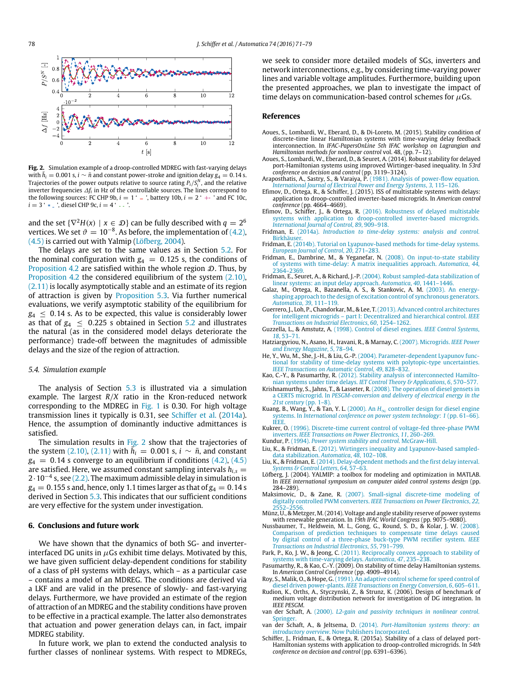<span id="page-7-33"></span>

**Fig. 2.** Simulation example of a droop-controlled MDREG with fast-varying delays with  $\bar{h}_i = 0.001$  s,  $i \sim \bar{n}$  and constant power-stroke and ignition delay  $g_4 = 0.14$  s. Trajectories of the power outputs relative to source rating  $P_i/S_i^N$ , and the relative inverter frequencies  $\varDelta f_i$  in Hz of the controllable sources. The lines correspond to the following sources: FC CHP 9b,  $i = 1' -$ , battery 10b,  $i = 2' +$  and FC 10c,  $i = 3$  '  $*$   $\Box$ , diesel CHP 9c,  $i = 4$  '  $\Box$ 

and the set  $\{\nabla^2 H(x) \mid x \in \mathcal{D}\}$  can be fully described with  $q=2^6$ vertices. We set  $\vartheta = 10^{-8}$ . As before, the implementation of [\(4.2\),](#page-4-6) [\(4.5\)](#page-4-7) is carried out with Yalmip [\(Löfberg,](#page-7-30) [2004\)](#page-7-30).

The delays are set to the same values as in Section [5.2.](#page-6-2) For the nominal configuration with  $g_4 = 0.125$  s, the conditions of [Proposition 4.2](#page-4-11) are satisfied within the whole region  $D$ . Thus, by [Proposition 4.2](#page-4-11) the considered equilibrium of the system [\(2.10\),](#page-3-6) [\(2.11\)](#page-3-7) is locally asymptotically stable and an estimate of its region of attraction is given by [Proposition 5.3.](#page-6-6) Via further numerical evaluations, we verify asymptotic stability of the equilibrium for  $g_4 \leq 0.14$  s. As to be expected, this value is considerably lower as that of  $g_4 \leq 0.225$  s obtained in Section [5.2](#page-6-2) and illustrates the natural (as in the considered model delays deteriorate the performance) trade-off between the magnitudes of admissible delays and the size of the region of attraction.

#### *5.4. Simulation example*

The analysis of Section [5.3](#page-6-7) is illustrated via a simulation example. The largest *R*/*X* ratio in the Kron-reduced network corresponding to the MDREG in [Fig. 1](#page-5-2) is 0.30. For high voltage transmission lines it typically is 0.31, see [Schiffer](#page-8-4) [et al.](#page-8-4) [\(2014a\)](#page-8-4). Hence, the assumption of dominantly inductive admittances is satisfied.

The simulation results in [Fig. 2](#page-7-33) show that the trajectories of the system [\(2.10\),](#page-3-6) [\(2.11\)](#page-3-7) with  $\overline{h_i} = 0.001$  s,  $i \sim \overline{n}$ , and constant  $g_4 = 0.14$  s converge to an equilibrium if conditions  $(4.2)$ ,  $(4.5)$ are satisfied. Here, we assumed constant sampling intervals  $h_{i,s} =$ 2·10−<sup>4</sup> s, see [\(2.2\).](#page-2-9) The maximum admissible delay in simulation is  $g_4 = 0.155$  s and, hence, only 1.1 times larger as that of  $g_4 = 0.14$  s derived in Section [5.3.](#page-6-7) This indicates that our sufficient conditions are very effective for the system under investigation.

#### <span id="page-7-24"></span>**6. Conclusions and future work**

We have shown that the dynamics of both SG- and inverterinterfaced DG units in  $\mu$ Gs exhibit time delays. Motivated by this, we have given sufficient delay-dependent conditions for stability of a class of pH systems with delays, which – as a particular case – contains a model of an MDREG. The conditions are derived via a LKF and are valid in the presence of slowly- and fast-varying delays. Furthermore, we have provided an estimate of the region of attraction of an MDREG and the stability conditions have proven to be effective in a practical example. The latter also demonstrates that actuation and power generation delays can, in fact, impair MDREG stability.

In future work, we plan to extend the conducted analysis to further classes of nonlinear systems. With respect to MDREGs, we seek to consider more detailed models of SGs, inverters and network interconnections, e.g., by considering time-varying power lines and variable voltage amplitudes. Furthermore, building upon the presented approaches, we plan to investigate the impact of time delays on communication-based control schemes for  $\mu$ Gs.

#### **References**

- <span id="page-7-18"></span>Aoues, S., Lombardi, W., Eberard, D., & Di-Loreto, M. (2015). Stability condition of discrete-time linear Hamiltonian systems with time-varying delay feedback interconnection. In *IFAC-PapersOnLine 5th IFAC workshop on Lagrangian and Hamiltonian methods for nonlinear control* vol. 48, (pp. 7–12).
- <span id="page-7-19"></span>Aoues, S., Lombardi, W., Eberard, D., & Seuret, A. (2014). Robust stability for delayed port-Hamiltonian systems using improved Wirtinger-based inequality. In *53rd conference on decision and control* (pp. 3119–3124).
- <span id="page-7-26"></span>Araposthatis, A., Sastry, S., & Varaiya, P. (1981). Analysis of power-flow equation. *Int[ernational Journal of Electrical Power and Energy Systems](http://refhub.elsevier.com/S0005-1098(16)30290-4/sbref3)*, *3*, 115–126.
- <span id="page-7-22"></span>Efimov, D., Ortega, R., & Schiffer, J. (2015). ISS of multistable systems with delays: application to droop-controlled inverter-based microgrids. In *American control conference* (pp. 4664–4669).
- <span id="page-7-23"></span>Efimov, D., Schiffer, J., & Ortega, R. (2016). Robustness of delayed multistable sys[tems with application to droop-controlled inverter-based microgrids.](http://refhub.elsevier.com/S0005-1098(16)30290-4/sbref5) *International Journal of Control*, *89*, 909–918.
- <span id="page-7-0"></span>Fridman, E. (2014a). *[Introduction to time-delay systems: analysis and control](http://refhub.elsevier.com/S0005-1098(16)30290-4/sbref6)*. **Birkhäuse**
- <span id="page-7-15"></span>Fridman, E. [\(2014b\). Tutorial on Lyapunov-based methods for time-delay systems.](http://refhub.elsevier.com/S0005-1098(16)30290-4/sbref7) *European Journal of Control*, *20*, 271–283.
- <span id="page-7-16"></span>Fridman, E., Dambrine, M., & Yeganefar, N. (2008). On input-to-state stability of [systems with time-delay: A matrix inequalities approach.](http://refhub.elsevier.com/S0005-1098(16)30290-4/sbref8) *Automatica*, *44*, 2364–2369.
- <span id="page-7-25"></span>Fridman, E., Seuret, A., & Richard, J.-P. [\(2004\). Robust sampled-data stabilization of](http://refhub.elsevier.com/S0005-1098(16)30290-4/sbref9) linear systems: an input delay approach. *Automatica*, *40*, 1441–1446. Galaz, M., Ortega, R., Bazanella, A. S., & Stankovic, A. M. (2003). An energy-
- <span id="page-7-31"></span>sha[ping approach to the design of excitation control of synchronous generators.](http://refhub.elsevier.com/S0005-1098(16)30290-4/sbref10) *Automatica*, *39*, 111–119.
- <span id="page-7-3"></span>Guerre[ro, J., Loh, P., Chandorkar, M., & Lee, T.\(2013\). Advanced control architectures](http://refhub.elsevier.com/S0005-1098(16)30290-4/sbref11) for intelligent microgrids – part I: Decentralized and hierarchical control. *IEEE Transactions on Industrial Electronics*, *60*, 1254–1262.
- <span id="page-7-8"></span>Guzzella, L., & Amstutz, A. [\(1998\). Control of diesel engines.](http://refhub.elsevier.com/S0005-1098(16)30290-4/sbref12) *IEEE Control Systems*, *18*, 53–71.
- <span id="page-7-4"></span>Hatziar[gyriou, N., Asano, H., Iravani, R., & Marnay, C.](http://refhub.elsevier.com/S0005-1098(16)30290-4/sbref13) (2007). Microgrids. *IEEE Power and Energy Magazine*, *5*, 78–94.
- <span id="page-7-29"></span>He, Y., Wu, M., She, J.-H., & Liu, G.-P. (2004). Parameter-dependent Lyapunov functio[nal for stability of time-delay systems with polytopic-type uncertainties.](http://refhub.elsevier.com/S0005-1098(16)30290-4/sbref14) *IEEE Transactions on Automatic Control*, *49*, 828–832.
- <span id="page-7-17"></span>Kao, C.-Y., & Pasumarthy, R. [\(2012\). Stability analysis of interconnected Hamilto-](http://refhub.elsevier.com/S0005-1098(16)30290-4/sbref15)nian systems under time delays. *IET Control Theory & Applications*, *6*, 570–577.
- <span id="page-7-6"></span>Krishnamurthy, S., Jahns, T., & Lasseter, R. (2008). The operation of diesel gensets in a CERTS microgrid. In *[PESGM-conversion and delivery of electrical energy in the](http://refhub.elsevier.com/S0005-1098(16)30290-4/sbref16) 21st century* (pp. 1–8).
- <span id="page-7-9"></span>Kuang, B., Wang, Y., & Tan, Y. L. (2000). An  $H_{\infty}$  controller design for diesel engine systems. In *[International conference on power system technology](http://refhub.elsevier.com/S0005-1098(16)30290-4/sbref17)*: *1* (pp. 61–66). IEEE.
- <span id="page-7-11"></span>Kukrer, O. [\(1996\). Discrete-time current control of voltage-fed three-phase PWM](http://refhub.elsevier.com/S0005-1098(16)30290-4/sbref18) inverters. *IEEE Transactions on Power Electronics*, *11*, 260–269. Kundur, P. (1994). *[Power system stability and control](http://refhub.elsevier.com/S0005-1098(16)30290-4/sbref19)*. McGraw-Hill.
- <span id="page-7-21"></span><span id="page-7-7"></span>Liu, K., & Fridman, E. [\(2012\). Wirtingers inequality and Lyapunov-based sampled](http://refhub.elsevier.com/S0005-1098(16)30290-4/sbref20)data stabilization. *Automatica*, *48*, 102–108.
- <span id="page-7-32"></span>Liu, K., & Fridman, E. [\(2014\). Delay-dependent methods and the first delay interval.](http://refhub.elsevier.com/S0005-1098(16)30290-4/sbref21) *Systems & Control Letters*, *64*, 57–63.
- <span id="page-7-30"></span>Löfberg, J. (2004). YALMIP: a toolbox for modeling and optimization in MATLAB. In *IEEE international symposium on computer aided control systems design* (pp. 284–289).
- <span id="page-7-12"></span>Maksimovic, D., & Zane, R. [\(2007\). Small-signal discrete-time modeling of](http://refhub.elsevier.com/S0005-1098(16)30290-4/sbref23) digitally controlled PWM converters. *IEEE Transactions on Power Electronics*, *22*,
- <span id="page-7-5"></span>2552–2556. Münz, U., & Metzger, M. (2014). Voltage and angle stability reserve of power systems with renewable generation. In *19th IFAC World Congress* (pp. 9075–9080).
- <span id="page-7-13"></span>Nussbaumer, T., Heldwein, M. L., Gong, G., Round, S. D., & Kolar, J. W. (2008). Co[mparison of prediction techniques to compensate time delays caused](http://refhub.elsevier.com/S0005-1098(16)30290-4/sbref25) by digital control of a three-phase buck-type PWM rectifier system. *IEEE Transactions on Industrial Electronics*, *55*, 791–799.
- <span id="page-7-27"></span>Park, P., Ko, J. W., & Jeong, C. [\(2011\). Reciprocally convex approach to stability of](http://refhub.elsevier.com/S0005-1098(16)30290-4/sbref26) systems with time-varying delays. *Automatica*, *47*, 235–238.
- <span id="page-7-20"></span>Pasumarthy, R., & Kao, C.-Y. (2009). On stability of time delay Hamiltonian systems. In *American Control Conference* (pp. 4909–4914).
- <span id="page-7-10"></span>Roy, S., Malik, O., & Hope, G. [\(1991\). An adaptive control scheme for speed control of](http://refhub.elsevier.com/S0005-1098(16)30290-4/sbref28) diesel driven power-plants. *IEEE Transactions on Energy Conversion*, *6*, 605–611. Rudion, K., Orths, A., Styczynski, Z., & Strunz, K. (2006). Design of benchmark of
- <span id="page-7-28"></span>medium voltage distribution network for investigation of DG integration. In *IEEE PESGM*.
- <span id="page-7-1"></span>van der Schaft, A. (2000). *[L2-gain and passivity techniques in nonlinear control](http://refhub.elsevier.com/S0005-1098(16)30290-4/sbref30)*. Springer.
- <span id="page-7-2"></span>van der Schaft, A., & Jeltsema, D. (2014). *[Port-Hamiltonian systems theory: an](http://refhub.elsevier.com/S0005-1098(16)30290-4/sbref31) introductory overview*. Now Publishers Incorporated.
- <span id="page-7-14"></span>Schiffer, J., Fridman, E., & Ortega, R. (2015a). Stability of a class of delayed port-Hamiltonian systems with application to droop-controlled microgrids. In *54th conference on decision and control* (pp. 6391–6396).